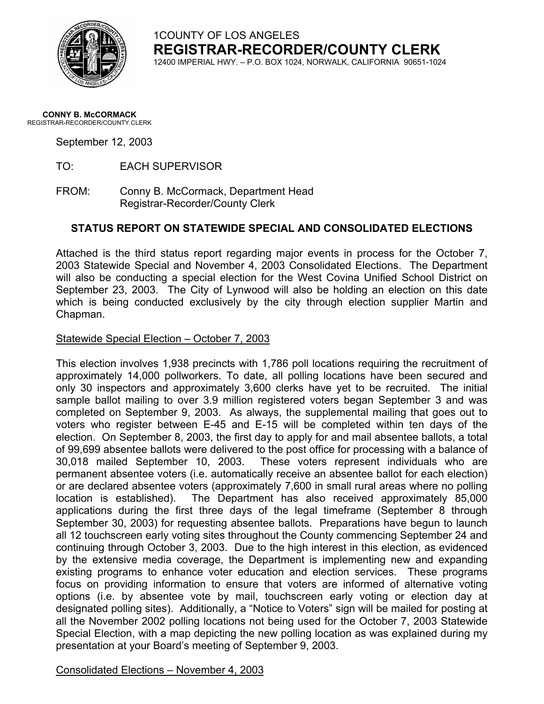

## 1COUNTY OF LOS ANGELES **REGISTRAR-RECORDER/COUNTY CLERK**

12400 IMPERIAL HWY. – P.O. BOX 1024, NORWALK, CALIFORNIA 90651-1024

#### **CONNY B. McCORMACK** REGISTRAR-RECORDER/COUNTY CLERK

September 12, 2003

TO: EACH SUPERVISOR

FROM: Conny B. McCormack, Department Head Registrar-Recorder/County Clerk

### **STATUS REPORT ON STATEWIDE SPECIAL AND CONSOLIDATED ELECTIONS**

Attached is the third status report regarding major events in process for the October 7, 2003 Statewide Special and November 4, 2003 Consolidated Elections. The Department will also be conducting a special election for the West Covina Unified School District on September 23, 2003. The City of Lynwood will also be holding an election on this date which is being conducted exclusively by the city through election supplier Martin and Chapman.

#### Statewide Special Election – October 7, 2003

This election involves 1,938 precincts with 1,786 poll locations requiring the recruitment of approximately 14,000 pollworkers. To date, all polling locations have been secured and only 30 inspectors and approximately 3,600 clerks have yet to be recruited. The initial sample ballot mailing to over 3.9 million registered voters began September 3 and was completed on September 9, 2003. As always, the supplemental mailing that goes out to voters who register between E-45 and E-15 will be completed within ten days of the election. On September 8, 2003, the first day to apply for and mail absentee ballots, a total of 99,699 absentee ballots were delivered to the post office for processing with a balance of 30,018 mailed September 10, 2003. These voters represent individuals who are permanent absentee voters (i.e. automatically receive an absentee ballot for each election) or are declared absentee voters (approximately 7,600 in small rural areas where no polling location is established). The Department has also received approximately 85,000 applications during the first three days of the legal timeframe (September 8 through September 30, 2003) for requesting absentee ballots. Preparations have begun to launch all 12 touchscreen early voting sites throughout the County commencing September 24 and continuing through October 3, 2003. Due to the high interest in this election, as evidenced by the extensive media coverage, the Department is implementing new and expanding existing programs to enhance voter education and election services. These programs focus on providing information to ensure that voters are informed of alternative voting options (i.e. by absentee vote by mail, touchscreen early voting or election day at designated polling sites). Additionally, a "Notice to Voters" sign will be mailed for posting at all the November 2002 polling locations not being used for the October 7, 2003 Statewide Special Election, with a map depicting the new polling location as was explained during my presentation at your Board's meeting of September 9, 2003.

Consolidated Elections – November 4, 2003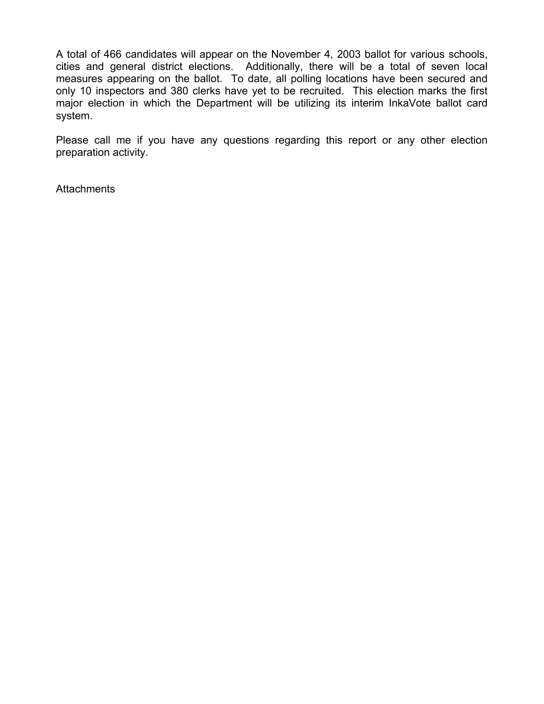A total of 466 candidates will appear on the November 4, 2003 ballot for various schools, cities and general district elections. Additionally, there will be a total of seven local measures appearing on the ballot. To date, all polling locations have been secured and only 10 inspectors and 380 clerks have yet to be recruited. This election marks the first major election in which the Department will be utilizing its interim InkaVote ballot card system.

Please call me if you have any questions regarding this report or any other election preparation activity.

**Attachments**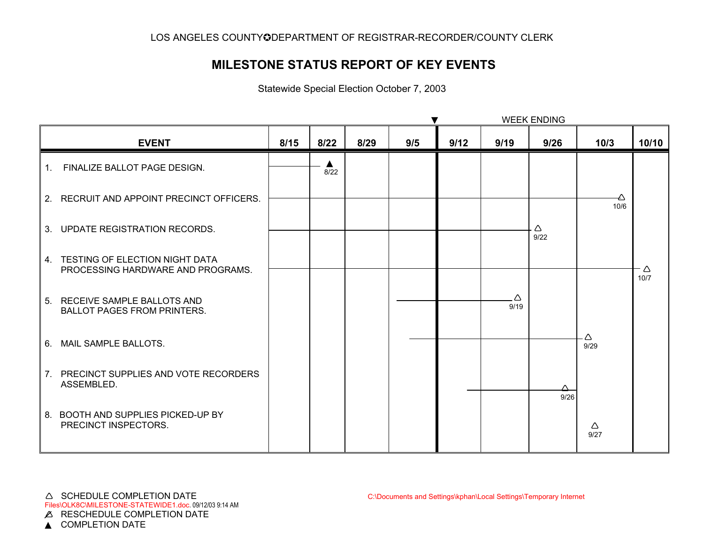## **MILESTONE STATUS REPORT OF KEY EVENTS**

Statewide Special Election October 7, 2003

|                |                                                                        |      |           |      | <b>WEEK ENDING</b> |      |           |           |           |           |
|----------------|------------------------------------------------------------------------|------|-----------|------|--------------------|------|-----------|-----------|-----------|-----------|
|                | <b>EVENT</b>                                                           | 8/15 | 8/22      | 8/29 | 9/5                | 9/12 | 9/19      | 9/26      | 10/3      | 10/10     |
| 1 <sup>1</sup> | FINALIZE BALLOT PAGE DESIGN.                                           |      | ▲<br>8/22 |      |                    |      |           |           |           |           |
|                | 2. RECRUIT AND APPOINT PRECINCT OFFICERS.                              |      |           |      |                    |      |           |           | 10/6      |           |
|                | 3. UPDATE REGISTRATION RECORDS.                                        |      |           |      |                    |      |           | Δ<br>9/22 |           |           |
|                | 4. TESTING OF ELECTION NIGHT DATA<br>PROCESSING HARDWARE AND PROGRAMS. |      |           |      |                    |      |           |           |           | Δ<br>10/7 |
|                | 5. RECEIVE SAMPLE BALLOTS AND<br><b>BALLOT PAGES FROM PRINTERS.</b>    |      |           |      |                    |      | Δ<br>9/19 |           |           |           |
|                | 6. MAIL SAMPLE BALLOTS.                                                |      |           |      |                    |      |           |           | Δ<br>9/29 |           |
|                | 7. PRECINCT SUPPLIES AND VOTE RECORDERS<br>ASSEMBLED.                  |      |           |      |                    |      |           | 9/26      |           |           |
|                | 8. BOOTH AND SUPPLIES PICKED-UP BY<br>PRECINCT INSPECTORS.             |      |           |      |                    |      |           |           | Δ<br>9/27 |           |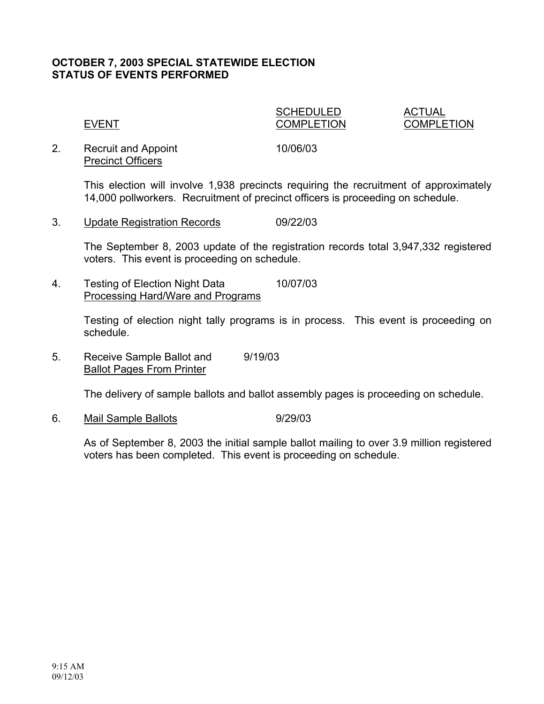## **OCTOBER 7, 2003 SPECIAL STATEWIDE ELECTION STATUS OF EVENTS PERFORMED**

# SCHEDULED ACTUAL

EVENT COMPLETION COMPLETION

2. Recruit and Appoint 10/06/03 Precinct Officers

This election will involve 1,938 precincts requiring the recruitment of approximately 14,000 pollworkers. Recruitment of precinct officers is proceeding on schedule.

3. Update Registration Records 09/22/03

The September 8, 2003 update of the registration records total 3,947,332 registered voters. This event is proceeding on schedule.

4. Testing of Election Night Data 10/07/03 Processing Hard/Ware and Programs

> Testing of election night tally programs is in process. This event is proceeding on schedule.

5. Receive Sample Ballot and 9/19/03 Ballot Pages From Printer

The delivery of sample ballots and ballot assembly pages is proceeding on schedule.

6. Mail Sample Ballots 9/29/03

As of September 8, 2003 the initial sample ballot mailing to over 3.9 million registered voters has been completed. This event is proceeding on schedule.